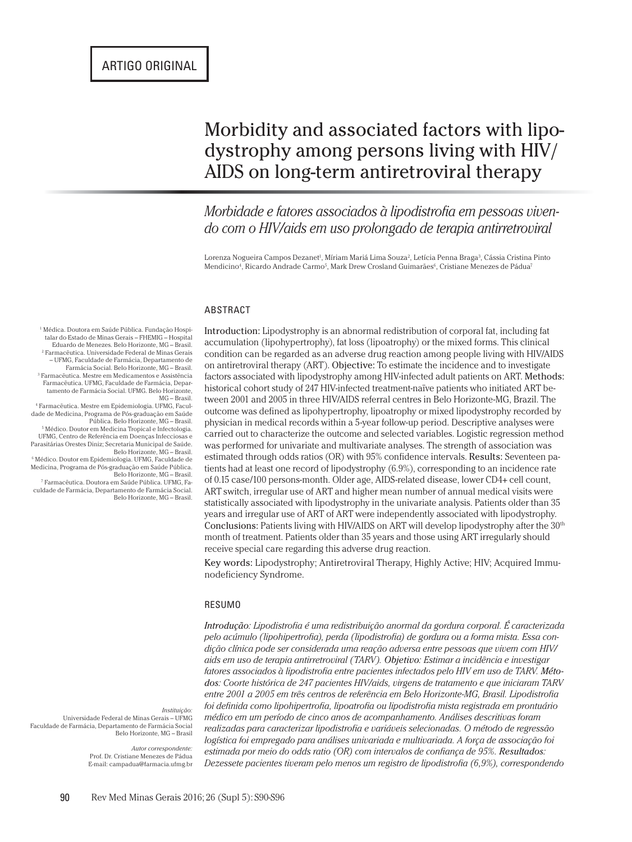# Morbidity and associated factors with lipodystrophy among persons living with HIV/ AIDS on long-term antiretroviral therapy

*Morbidade e fatores associados à lipodistrofia em pessoas vivendo com o HIV/aids em uso prolongado de terapia antirretroviral*

Lorenza Nogueira Campos Dezanet<sup>i</sup>, Míriam Mariá Lima Souza<sup>2</sup>, Letícia Penna Braga<sup>3</sup>, Cássia Cristina Pinto Mendicino<sup>4</sup>, Ricardo Andrade Carmo<sup>5</sup>, Mark Drew Crosland Guimarães<sup>6</sup>, Cristiane Menezes de Pádua<sup>5</sup>

#### ABSTRACT

Introduction: Lipodystrophy is an abnormal redistribution of corporal fat, including fat accumulation (lipohypertrophy), fat loss (lipoatrophy) or the mixed forms. This clinical condition can be regarded as an adverse drug reaction among people living with HIV/AIDS on antiretroviral therapy (ART). Objective: To estimate the incidence and to investigate factors associated with lipodystrophy among HIV-infected adult patients on ART. Methods: historical cohort study of 247 HIV-infected treatment-naïve patients who initiated ART between 2001 and 2005 in three HIV/AIDS referral centres in Belo Horizonte-MG, Brazil. The outcome was defined as lipohypertrophy, lipoatrophy or mixed lipodystrophy recorded by physician in medical records within a 5-year follow-up period. Descriptive analyses were carried out to characterize the outcome and selected variables. Logistic regression method was performed for univariate and multivariate analyses. The strength of association was estimated through odds ratios (OR) with 95% confidence intervals. Results: Seventeen patients had at least one record of lipodystrophy (6.9%), corresponding to an incidence rate of 0.15 case/100 persons-month. Older age, AIDS-related disease, lower CD4+ cell count, ART switch, irregular use of ART and higher mean number of annual medical visits were statistically associated with lipodystrophy in the univariate analysis. Patients older than 35 years and irregular use of ART of ART were independently associated with lipodystrophy. Conclusions: Patients living with HIV/AIDS on ART will develop lipodystrophy after the 30<sup>th</sup> month of treatment. Patients older than 35 years and those using ART irregularly should receive special care regarding this adverse drug reaction.

Key words: Lipodystrophy; Antiretroviral Therapy, Highly Active; HIV; Acquired Immunodeficiency Syndrome.

#### RESUMO

*Introdução: Lipodistrofia é uma redistribuição anormal da gordura corporal. É caracterizada pelo acúmulo (lipohipertrofia), perda (lipodistrofia) de gordura ou a forma mista. Essa condição clínica pode ser considerada uma reação adversa entre pessoas que vivem com HIV/ aids em uso de terapia antirretroviral (TARV). Objetivo: Estimar a incidência e investigar fatores associados à lipodistrofia entre pacientes infectados pelo HIV em uso de TARV. Métodos: Coorte histórica de 247 pacientes HIV/aids, virgens de tratamento e que iniciaram TARV entre 2001 a 2005 em três centros de referência em Belo Horizonte-MG, Brasil. Lipodistrofia foi definida como lipohipertrofia, lipoatrofia ou lipodistrofia mista registrada em prontuário médico em um período de cinco anos de acompanhamento. Análises descritivas foram realizadas para caracterizar lipodistrofia e variáveis selecionadas. O método de regressão logística foi empregado para análises univariada e multivariada. A força de associação foi estimada por meio do odds ratio (OR) com intervalos de confiança de 95%. Resultados: Dezessete pacientes tiveram pelo menos um registro de lipodistrofia (6,9%), correspondendo* 

1 Médica. Doutora em Saúde Pública. Fundação Hospi-talar do Estado de Minas Gerais – FHEMIG – Hospital Eduardo de Menezes. Belo Horizonte, MG – Brasil. 2 Farmacêutica. Universidade Federal de Minas Gerais – UFMG, Faculdade de Farmácia, Departamento de Farmácia Social. Belo Horizonte, MG – Brasil. 3 Farmacêutica. Mestre em Medicamentos e Assistência Farmacêutica. UFMG, Faculdade de Farmácia, Depar-tamento de Farmácia Social. UFMG. Belo Horizonte, MG – Brasil.

4 Farmacêutica. Mestre em Epidemiologia. UFMG, Faculdade de Medicina, Programa de Pós-graduação em Saúde Pública. Belo Horizonte, MG – Brasil. 5 Médico. Doutor em Medicina Tropical e Infectologia.

UFMG, Centro de Referência em Doenças Infecciosas e Parasitárias Orestes Diniz; Secretaria Municipal de Saúde. Belo Horizonte, MG – Brasil. 6 Médico. Doutor em Epidemiologia. UFMG, Faculdade de

Medicina, Programa de Pós-graduação em Saúde Pública. Belo Horizonte, MG – Brasil.

7 Farmacêutica. Doutora em Saúde Pública. UFMG, Faculdade de Farmácia, Departamento de Farmácia Social. Belo Horizonte, MG – Brasil.

*Instituição:*

Universidade Federal de Minas Gerais – UFMG Faculdade de Farmácia, Departamento de Farmácia Social Belo Horizonte, MG – Brasil

> *Autor correspondente:* Prof. Dr. Cristiane Menezes de Pádua E-mail: campadua@farmacia.ufmg.br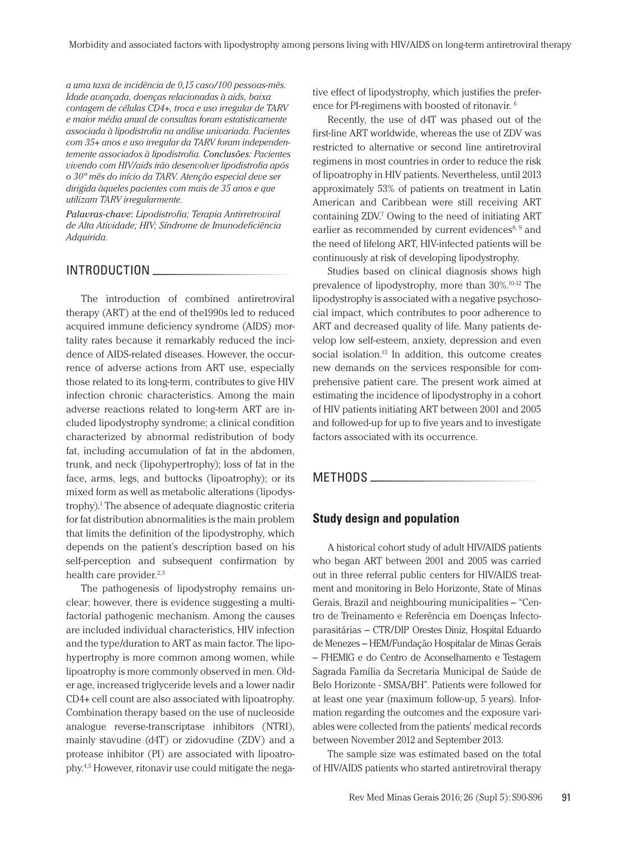*a uma taxa de incidência de 0,15 caso/100 pessoas-mês. Idade avançada, doenças relacionadas à aids, baixa contagem de células CD4+, troca e uso irregular de TARV e maior média anual de consultas foram estatisticamente associada à lipodistrofia na análise univariada. Pacientes com 35+ anos e uso irregular da TARV foram independentemente associados à lipodistrofia. Conclusões: Pacientes vivendo com HIV/aids irão desenvolver lipodistrofia após o 30º mês do início da TARV. Atenção especial deve ser dirigida àqueles pacientes com mais de 35 anos e que utilizam TARV irregularmente.*

*Palavras-chave*: *Lipodistrofia; Terapia Antirretroviral de Alta Atividade; HIV; Síndrome de Imunodeficiência Adquirida.*

### INTRODUCTION

The introduction of combined antiretroviral therapy (ART) at the end of the1990s led to reduced acquired immune deficiency syndrome (AIDS) mortality rates because it remarkably reduced the incidence of AIDS-related diseases. However, the occurrence of adverse actions from ART use, especially those related to its long-term, contributes to give HIV infection chronic characteristics. Among the main adverse reactions related to long-term ART are included lipodystrophy syndrome; a clinical condition characterized by abnormal redistribution of body fat, including accumulation of fat in the abdomen, trunk, and neck (lipohypertrophy); loss of fat in the face, arms, legs, and buttocks (lipoatrophy); or its mixed form as well as metabolic alterations (lipodystrophy).<sup>1</sup> The absence of adequate diagnostic criteria for fat distribution abnormalities is the main problem that limits the definition of the lipodystrophy, which depends on the patient's description based on his self-perception and subsequent confirmation by health care provider. $2,3$ 

The pathogenesis of lipodystrophy remains unclear; however, there is evidence suggesting a multifactorial pathogenic mechanism. Among the causes are included individual characteristics, HIV infection and the type/duration to ART as main factor. The lipohypertrophy is more common among women, while lipoatrophy is more commonly observed in men. Older age, increased triglyceride levels and a lower nadir CD4+ cell count are also associated with lipoatrophy. Combination therapy based on the use of nucleoside analogue reverse-transcriptase inhibitors (NTRI), mainly stavudine (d4T) or zidovudine (ZDV) and a protease inhibitor (PI) are associated with lipoatrophy.4,5 However, ritonavir use could mitigate the negative effect of lipodystrophy, which justifies the preference for PI-regimens with boosted of ritonavir. 6

Recently, the use of d4T was phased out of the first-line ART worldwide, whereas the use of ZDV was restricted to alternative or second line antiretroviral regimens in most countries in order to reduce the risk of lipoatrophy in HIV patients. Nevertheless, until 2013 approximately 53% of patients on treatment in Latin American and Caribbean were still receiving ART containing ZDV.7 Owing to the need of initiating ART earlier as recommended by current evidences<sup>8, 9</sup> and the need of lifelong ART, HIV-infected patients will be continuously at risk of developing lipodystrophy.

Studies based on clinical diagnosis shows high prevalence of lipodystrophy, more than 30%.10-12 The lipodystrophy is associated with a negative psychosocial impact, which contributes to poor adherence to ART and decreased quality of life. Many patients develop low self-esteem, anxiety, depression and even social isolation.13 In addition, this outcome creates new demands on the services responsible for comprehensive patient care. The present work aimed at estimating the incidence of lipodystrophy in a cohort of HIV patients initiating ART between 2001 and 2005 and followed-up for up to five years and to investigate factors associated with its occurrence.

# METHODS \_\_\_\_\_\_\_\_\_\_

# **Study design and population**

A historical cohort study of adult HIV/AIDS patients who began ART between 2001 and 2005 was carried out in three referral public centers for HIV/AIDS treatment and monitoring in Belo Horizonte, State of Minas Gerais, Brazil and neighbouring municipalities – "Centro de Treinamento e Referência em Doenças Infectoparasitárias – CTR/DIP Orestes Diniz, Hospital Eduardo de Menezes – HEM/Fundação Hospitalar de Minas Gerais – FHEMIG e do Centro de Aconselhamento e Testagem Sagrada Família da Secretaria Municipal de Saúde de Belo Horizonte - SMSA/BH". Patients were followed for at least one year (maximum follow-up, 5 years). Information regarding the outcomes and the exposure variables were collected from the patients' medical records between November 2012 and September 2013.

The sample size was estimated based on the total of HIV/AIDS patients who started antiretroviral therapy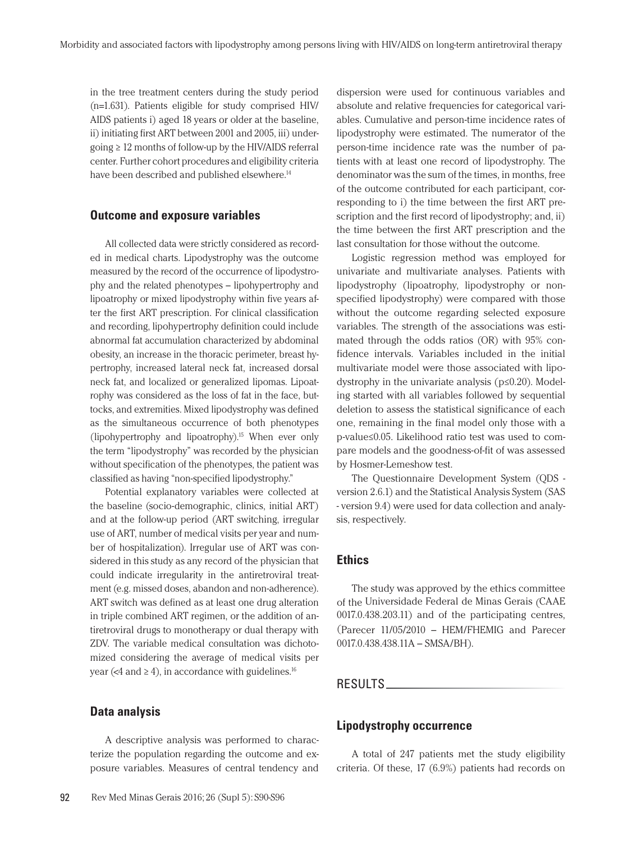in the tree treatment centers during the study period (n=1.631). Patients eligible for study comprised HIV/ AIDS patients i) aged 18 years or older at the baseline, ii) initiating first ART between 2001 and 2005, iii) undergoing ≥ 12 months of follow-up by the HIV/AIDS referral center. Further cohort procedures and eligibility criteria have been described and published elsewhere.<sup>14</sup>

## **Outcome and exposure variables**

All collected data were strictly considered as recorded in medical charts. Lipodystrophy was the outcome measured by the record of the occurrence of lipodystrophy and the related phenotypes – lipohypertrophy and lipoatrophy or mixed lipodystrophy within five years after the first ART prescription. For clinical classification and recording, lipohypertrophy definition could include abnormal fat accumulation characterized by abdominal obesity, an increase in the thoracic perimeter, breast hypertrophy, increased lateral neck fat, increased dorsal neck fat, and localized or generalized lipomas. Lipoatrophy was considered as the loss of fat in the face, buttocks, and extremities. Mixed lipodystrophy was defined as the simultaneous occurrence of both phenotypes (lipohypertrophy and lipoatrophy).15 When ever only the term "lipodystrophy" was recorded by the physician without specification of the phenotypes, the patient was classified as having "non-specified lipodystrophy."

Potential explanatory variables were collected at the baseline (socio-demographic, clinics, initial ART) and at the follow-up period (ART switching, irregular use of ART, number of medical visits per year and number of hospitalization). Irregular use of ART was considered in this study as any record of the physician that could indicate irregularity in the antiretroviral treatment (e.g. missed doses, abandon and non-adherence). ART switch was defined as at least one drug alteration in triple combined ART regimen, or the addition of antiretroviral drugs to monotherapy or dual therapy with ZDV. The variable medical consultation was dichotomized considering the average of medical visits per year (<4 and  $\geq$  4), in accordance with guidelines.<sup>16</sup>

# **Data analysis**

A descriptive analysis was performed to characterize the population regarding the outcome and exposure variables. Measures of central tendency and dispersion were used for continuous variables and absolute and relative frequencies for categorical variables. Cumulative and person-time incidence rates of lipodystrophy were estimated. The numerator of the person-time incidence rate was the number of patients with at least one record of lipodystrophy. The denominator was the sum of the times, in months, free of the outcome contributed for each participant, corresponding to i) the time between the first ART prescription and the first record of lipodystrophy; and, ii) the time between the first ART prescription and the last consultation for those without the outcome.

Logistic regression method was employed for univariate and multivariate analyses. Patients with lipodystrophy (lipoatrophy, lipodystrophy or nonspecified lipodystrophy) were compared with those without the outcome regarding selected exposure variables. The strength of the associations was estimated through the odds ratios (OR) with 95% confidence intervals. Variables included in the initial multivariate model were those associated with lipodystrophy in the univariate analysis (p≤0.20). Modeling started with all variables followed by sequential deletion to assess the statistical significance of each one, remaining in the final model only those with a p-value≤0.05. Likelihood ratio test was used to compare models and the goodness-of-fit of was assessed by Hosmer-Lemeshow test.

The Questionnaire Development System (QDS version 2.6.1) and the Statistical Analysis System (SAS - version 9.4) were used for data collection and analysis, respectively.

# **Ethics**

The study was approved by the ethics committee of the Universidade Federal de Minas Gerais (CAAE 0017.0.438.203.11) and of the participating centres, (Parecer 11/05/2010 – HEM/FHEMIG and Parecer 0017.0.438.438.11A – SMSA/BH).

# RESULTS

# **Lipodystrophy occurrence**

A total of 247 patients met the study eligibility criteria. Of these, 17 (6.9%) patients had records on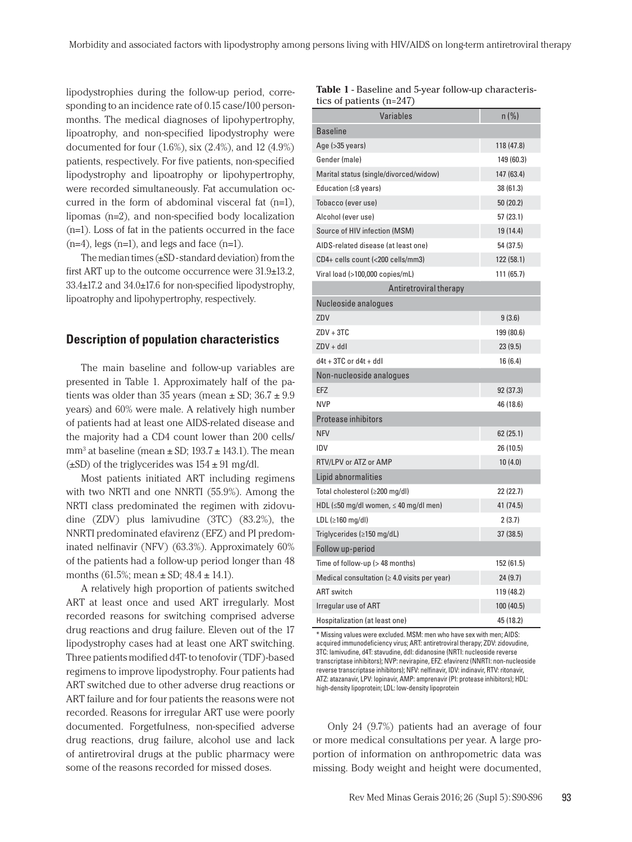lipodystrophies during the follow-up period, corresponding to an incidence rate of 0.15 case/100 personmonths. The medical diagnoses of lipohypertrophy, lipoatrophy, and non-specified lipodystrophy were documented for four (1.6%), six (2.4%), and 12 (4.9%) patients, respectively. For five patients, non-specified lipodystrophy and lipoatrophy or lipohypertrophy, were recorded simultaneously. Fat accumulation occurred in the form of abdominal visceral fat (n=1), lipomas (n=2), and non-specified body localization (n=1). Loss of fat in the patients occurred in the face  $(n=4)$ , legs  $(n=1)$ , and legs and face  $(n=1)$ .

The median times  $(\pm SD$  -standard deviation) from the first ART up to the outcome occurrence were 31.9±13.2, 33.4±17.2 and 34.0±17.6 for non-specified lipodystrophy, lipoatrophy and lipohypertrophy, respectively.

## **Description of population characteristics**

The main baseline and follow-up variables are presented in Table 1. Approximately half of the patients was older than 35 years (mean  $\pm$  SD; 36.7  $\pm$  9.9 years) and 60% were male. A relatively high number of patients had at least one AIDS-related disease and the majority had a CD4 count lower than 200 cells/ mm<sup>3</sup> at baseline (mean  $\pm$  SD; 193.7  $\pm$  143.1). The mean  $(\pm SD)$  of the triglycerides was  $154 \pm 91$  mg/dl.

Most patients initiated ART including regimens with two NRTI and one NNRTI (55.9%). Among the NRTI class predominated the regimen with zidovudine (ZDV) plus lamivudine (3TC) (83.2%), the NNRTI predominated efavirenz (EFZ) and PI predominated nelfinavir (NFV) (63.3%). Approximately 60% of the patients had a follow-up period longer than 48 months  $(61.5\%; \text{mean} \pm \text{SD}; 48.4 \pm 14.1).$ 

A relatively high proportion of patients switched ART at least once and used ART irregularly. Most recorded reasons for switching comprised adverse drug reactions and drug failure. Eleven out of the 17 lipodystrophy cases had at least one ART switching. Three patients modified d4T- to tenofovir (TDF)-based regimens to improve lipodystrophy. Four patients had ART switched due to other adverse drug reactions or ART failure and for four patients the reasons were not recorded. Reasons for irregular ART use were poorly documented. Forgetfulness, non-specified adverse drug reactions, drug failure, alcohol use and lack of antiretroviral drugs at the public pharmacy were some of the reasons recorded for missed doses.

| tics of patients $(n=247)$                         |            |  |  |
|----------------------------------------------------|------------|--|--|
| Variables                                          | $n (\%)$   |  |  |
| <b>Baseline</b>                                    |            |  |  |
| Age (>35 years)                                    | 118 (47.8) |  |  |
| Gender (male)                                      | 149 (60.3) |  |  |
| Marital status (single/divorced/widow)             | 147 (63.4) |  |  |
| Education ( $\leq 8$ years)                        | 38 (61.3)  |  |  |
| Tobacco (ever use)                                 | 50(20.2)   |  |  |
| Alcohol (ever use)                                 | 57 (23.1)  |  |  |
| Source of HIV infection (MSM)                      | 19 (14.4)  |  |  |
| AIDS-related disease (at least one)                | 54 (37.5)  |  |  |
| CD4+ cells count (<200 cells/mm3)                  | 122 (58.1) |  |  |
| Viral load (>100,000 copies/mL)                    | 111 (65.7) |  |  |
| Antiretroviral therapy                             |            |  |  |
| Nucleoside analogues                               |            |  |  |
| ZDV                                                | 9(3.6)     |  |  |
| $ZDV + 3TC$                                        | 199 (80.6) |  |  |
| $ZDV + ddl$                                        | 23(9.5)    |  |  |
| $d4t + 3TC$ or $d4t + ddl$                         | 16 (6.4)   |  |  |
| Non-nucleoside analogues                           |            |  |  |
| EFZ                                                | 92(37.3)   |  |  |
| <b>NVP</b>                                         | 46 (18.6)  |  |  |
| Protease inhibitors                                |            |  |  |
| <b>NFV</b>                                         | 62(25.1)   |  |  |
| IDV                                                | 26 (10.5)  |  |  |
| RTV/LPV or ATZ or AMP                              | 10(4.0)    |  |  |
| Lipid abnormalities                                |            |  |  |
| Total cholesterol (≥200 mg/dl)                     | 22 (22.7)  |  |  |
| HDL (≤50 mg/dl women, ≤ 40 mg/dl men)              | 41 (74.5)  |  |  |
| LDL ( $\geq 160$ mg/dl)                            | 2(3.7)     |  |  |
| Triglycerides (≥150 mg/dL)                         | 37 (38.5)  |  |  |
| Follow up-period                                   |            |  |  |
| Time of follow-up (> 48 months)                    | 152 (61.5) |  |  |
| Medical consultation ( $\geq 4.0$ visits per year) | 24 (9.7)   |  |  |
| <b>ART</b> switch                                  | 119 (48.2) |  |  |
| Irregular use of ART                               | 100 (40.5) |  |  |
| Hospitalization (at least one)                     | 45 (18.2)  |  |  |

**Table 1** - Baseline and 5-year follow-up characteris-

\* Missing values were excluded. MSM: men who have sex with men; AIDS: acquired immunodeficiency virus; ART: antiretroviral therapy; ZDV: zidovudine, 3TC: lamivudine, d4T: stavudine, ddI: didanosine (NRTI: nucleoside reverse transcriptase inhibitors); NVP: nevirapine, EFZ: efavirenz (NNRTI: non-nucleoside reverse transcriptase inhibitors); NFV: nelfinavir, IDV: indinavir, RTV: ritonavir, ATZ: atazanavir, LPV: lopinavir, AMP: amprenavir (PI: protease inhibitors); HDL: high-density lipoprotein; LDL: low-density lipoprotein

Only 24 (9.7%) patients had an average of four or more medical consultations per year. A large proportion of information on anthropometric data was missing. Body weight and height were documented,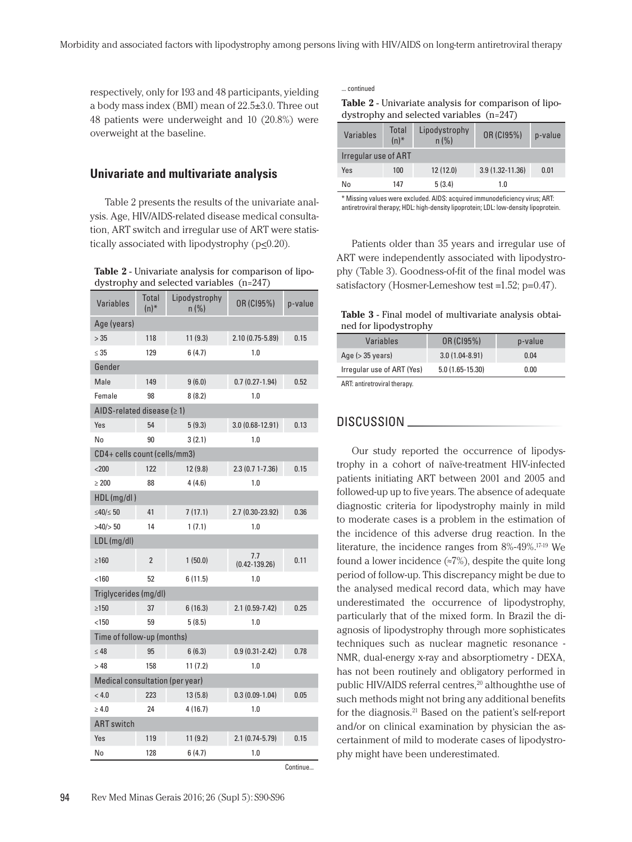respectively, only for 193 and 48 participants, yielding a body mass index (BMI) mean of 22.5±3.0. Three out 48 patients were underweight and 10 (20.8%) were overweight at the baseline.

## **Univariate and multivariate analysis**

Table 2 presents the results of the univariate analysis. Age, HIV/AIDS-related disease medical consultation, ART switch and irregular use of ART were statistically associated with lipodystrophy (p<0.20).

**Table 2** - Univariate analysis for comparison of lipodystrophy and selected variables (n=247)

| <b>Variables</b>                | Total<br>$(n)^*$ | Lipodystrophy<br>n(%) | OR (CI95%)               | p-value  |  |
|---------------------------------|------------------|-----------------------|--------------------------|----------|--|
| Age (years)                     |                  |                       |                          |          |  |
| >35                             | 118              | 11(9.3)               | 2.10 (0.75-5.89)         | 0.15     |  |
| $\leq 35$                       | 129              | 6(4.7)                | 1.0                      |          |  |
| Gender                          |                  |                       |                          |          |  |
| Male                            | 149              | 9(6.0)                | $0.7(0.27-1.94)$         | 0.52     |  |
| Female                          | 98               | 8(8.2)                | 1.0                      |          |  |
| AIDS-related disease $(≥ 1)$    |                  |                       |                          |          |  |
| Yes                             | 54               | 5(9.3)                | 3.0 (0.68-12.91)         | 0.13     |  |
| No                              | 90               | 3(2.1)                | $1.0\,$                  |          |  |
| CD4+ cells count (cells/mm3)    |                  |                       |                          |          |  |
| $200$                           | 122              | 12 (9.8)              | 2.3 (0.7 1-7.36)         | 0.15     |  |
| $\geq 200$                      | 88               | 4(4.6)                | 1.0                      |          |  |
| HDL (mg/dl)                     |                  |                       |                          |          |  |
| $≤40/≤50$                       | 41               | 7(17.1)               | 2.7 (0.30-23.92)         | 0.36     |  |
| $>40/$ $>50$                    | 14               | 1(7.1)                | 1.0                      |          |  |
| LDL (mg/dl)                     |                  |                       |                          |          |  |
| >160                            | $\overline{2}$   | 1(50.0)               | 7.7<br>$(0.42 - 139.26)$ | 0.11     |  |
| < 160                           | 52               | 6(11.5)               | 1.0                      |          |  |
| Triglycerides (mg/dl)           |                  |                       |                          |          |  |
| >150                            | 37               | 6(16.3)               | $2.1(0.59-7.42)$         | 0.25     |  |
| < 150                           | 59               | 5(8.5)                | 1.0                      |          |  |
| Time of follow-up (months)      |                  |                       |                          |          |  |
| $\leq 48$                       | 95               | 6(6.3)                | $0.9(0.31 - 2.42)$       | 0.78     |  |
| >48                             | 158              | 11(7.2)               | 1.0                      |          |  |
| Medical consultation (per year) |                  |                       |                          |          |  |
| < 4.0                           | 223              | 13(5.8)               | $0.3(0.09-1.04)$         | 0.05     |  |
| $\geq 4.0$                      | 24               | 4(16.7)               | 1.0                      |          |  |
| <b>ART</b> switch               |                  |                       |                          |          |  |
| Yes                             | 119              | 11(9.2)               | $2.1(0.74-5.79)$         | 0.15     |  |
| No                              | 128              | 6(4.7)                | 1.0                      |          |  |
|                                 |                  |                       |                          | Continue |  |

... continued

| <b>Table 2</b> - Univariate analysis for comparison of lipo- |  |
|--------------------------------------------------------------|--|
| dystrophy and selected variables (n=247)                     |  |

| Variables            | Total<br>$(n)^*$ | Lipodystrophy<br>n(%) | OR (CI95%)          | p-value |
|----------------------|------------------|-----------------------|---------------------|---------|
| Irregular use of ART |                  |                       |                     |         |
| Yes                  | 100              | 12(12.0)              | $3.9(1.32 - 11.36)$ | 0.01    |
| No                   | 147              | 5(3.4)                | 1.0                 |         |

\* Missing values were excluded. AIDS: acquired immunodeficiency virus; ART: antiretroviral therapy; HDL: high-density lipoprotein; LDL: low-density lipoprotein.

Patients older than 35 years and irregular use of ART were independently associated with lipodystrophy (Table 3). Goodness-of-fit of the final model was satisfactory (Hosmer-Lemeshow test =1.52; p=0.47).

**Table 3** - Final model of multivariate analysis obtained for lipodystrophy

| Variables                    | OR (C195%)         | p-value |
|------------------------------|--------------------|---------|
| Age $($ > 35 years)          | $3.0(1.04 - 8.91)$ | 0.04    |
| Irregular use of ART (Yes)   | $5.0(1.65-15.30)$  | 0.00    |
| ART: antiretroviral therapy. |                    |         |

ART: antiretroviral therapy.

#### DISCUSSION

Our study reported the occurrence of lipodystrophy in a cohort of naïve-treatment HIV-infected patients initiating ART between 2001 and 2005 and followed-up up to five years. The absence of adequate diagnostic criteria for lipodystrophy mainly in mild to moderate cases is a problem in the estimation of the incidence of this adverse drug reaction. In the literature, the incidence ranges from 8%-49%.17-19 We found a lower incidence  $(\approx 7\%)$ , despite the quite long period of follow-up. This discrepancy might be due to the analysed medical record data, which may have underestimated the occurrence of lipodystrophy, particularly that of the mixed form. In Brazil the diagnosis of lipodystrophy through more sophisticates techniques such as nuclear magnetic resonance - NMR, dual-energy x-ray and absorptiometry - DEXA, has not been routinely and obligatory performed in public HIV/AIDS referral centres,<sup>20</sup> althoughthe use of such methods might not bring any additional benefits for the diagnosis.21 Based on the patient's self-report and/or on clinical examination by physician the ascertainment of mild to moderate cases of lipodystrophy might have been underestimated.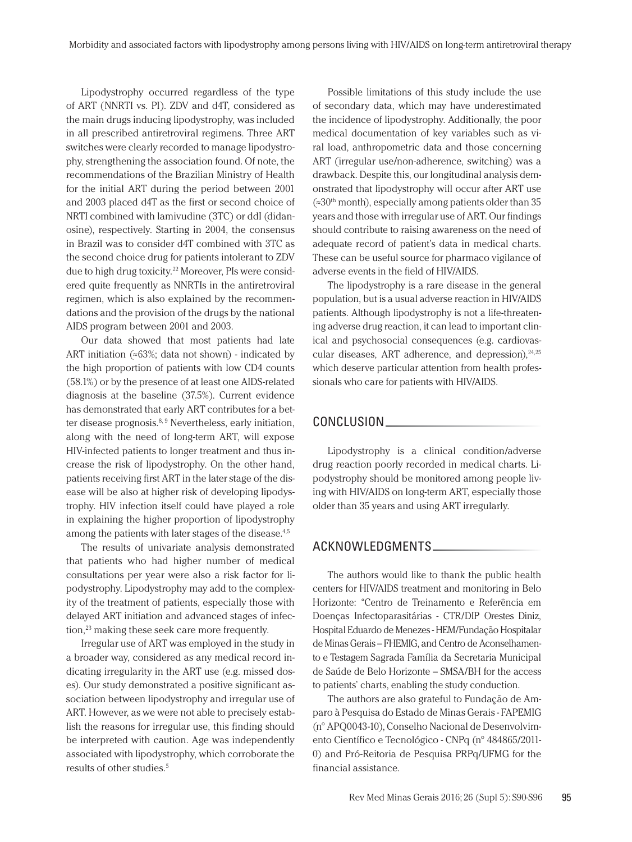Lipodystrophy occurred regardless of the type of ART (NNRTI vs. PI). ZDV and d4T, considered as the main drugs inducing lipodystrophy, was included in all prescribed antiretroviral regimens. Three ART switches were clearly recorded to manage lipodystrophy, strengthening the association found. Of note, the recommendations of the Brazilian Ministry of Health for the initial ART during the period between 2001 and 2003 placed d4T as the first or second choice of NRTI combined with lamivudine (3TC) or ddI (didanosine), respectively. Starting in 2004, the consensus in Brazil was to consider d4T combined with 3TC as the second choice drug for patients intolerant to ZDV due to high drug toxicity.22 Moreover, PIs were considered quite frequently as NNRTIs in the antiretroviral regimen, which is also explained by the recommendations and the provision of the drugs by the national AIDS program between 2001 and 2003.

Our data showed that most patients had late ART initiation ( $\approx 63\%$ ; data not shown) - indicated by the high proportion of patients with low CD4 counts (58.1%) or by the presence of at least one AIDS-related diagnosis at the baseline (37.5%). Current evidence has demonstrated that early ART contributes for a better disease prognosis.<sup>8, 9</sup> Nevertheless, early initiation, along with the need of long-term ART, will expose HIV-infected patients to longer treatment and thus increase the risk of lipodystrophy. On the other hand, patients receiving first ART in the later stage of the disease will be also at higher risk of developing lipodystrophy. HIV infection itself could have played a role in explaining the higher proportion of lipodystrophy among the patients with later stages of the disease.<sup>4,5</sup>

The results of univariate analysis demonstrated that patients who had higher number of medical consultations per year were also a risk factor for lipodystrophy. Lipodystrophy may add to the complexity of the treatment of patients, especially those with delayed ART initiation and advanced stages of infection,23 making these seek care more frequently.

Irregular use of ART was employed in the study in a broader way, considered as any medical record indicating irregularity in the ART use (e.g. missed doses). Our study demonstrated a positive significant association between lipodystrophy and irregular use of ART. However, as we were not able to precisely establish the reasons for irregular use, this finding should be interpreted with caution. Age was independently associated with lipodystrophy, which corroborate the results of other studies.5

Possible limitations of this study include the use of secondary data, which may have underestimated the incidence of lipodystrophy. Additionally, the poor medical documentation of key variables such as viral load, anthropometric data and those concerning ART (irregular use/non-adherence, switching) was a drawback. Despite this, our longitudinal analysis demonstrated that lipodystrophy will occur after ART use  $\approx 30$ <sup>th</sup> month), especially among patients older than 35 years and those with irregular use of ART. Our findings should contribute to raising awareness on the need of adequate record of patient's data in medical charts. These can be useful source for pharmaco vigilance of adverse events in the field of HIV/AIDS.

The lipodystrophy is a rare disease in the general population, but is a usual adverse reaction in HIV/AIDS patients. Although lipodystrophy is not a life-threatening adverse drug reaction, it can lead to important clinical and psychosocial consequences (e.g. cardiovascular diseases, ART adherence, and depression), $24,25$ which deserve particular attention from health professionals who care for patients with HIV/AIDS.

#### CONCLUSION

Lipodystrophy is a clinical condition/adverse drug reaction poorly recorded in medical charts. Lipodystrophy should be monitored among people living with HIV/AIDS on long-term ART, especially those older than 35 years and using ART irregularly.

# ACKNOWLEDGMENTS

The authors would like to thank the public health centers for HIV/AIDS treatment and monitoring in Belo Horizonte: "Centro de Treinamento e Referência em Doenças Infectoparasitárias - CTR/DIP Orestes Diniz, Hospital Eduardo de Menezes - HEM/Fundação Hospitalar de Minas Gerais – FHEMIG, and Centro de Aconselhamento e Testagem Sagrada Família da Secretaria Municipal de Saúde de Belo Horizonte – SMSA/BH for the access to patients' charts, enabling the study conduction.

The authors are also grateful to Fundação de Amparo à Pesquisa do Estado de Minas Gerais - FAPEMIG (n° APQ0043-10), Conselho Nacional de Desenvolvimento Científico e Tecnológico - CNPq (n° 484865/2011- 0) and Pró-Reitoria de Pesquisa PRPq/UFMG for the financial assistance.